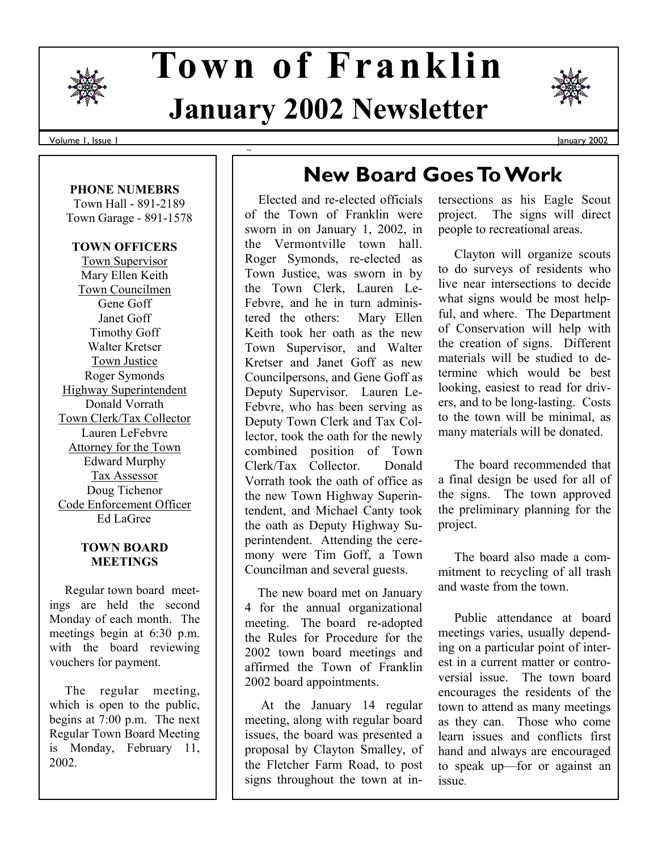

# **January 2002 Newsletter Town of Franklin**

Volume 1, Issue 1

#### **PHONE NUMEBRS**

 Town Hall - 891-2189 Town Garage - 891-1578

### **TOWN OFFICERS**

Town Supervisor Mary Ellen Keith Town Councilmen Gene Goff Janet Goff Timothy Goff Walter Kretser Town Justice Roger Symonds Highway Superintendent Donald Vorrath Town Clerk/Tax Collector Lauren LeFebvre Attorney for the Town Edward Murphy Tax Assessor Doug Tichenor Code Enforcement Officer Ed LaGree

#### **TOWN BOARD MEETINGS**

 Regular town board meetings are held the second Monday of each month. The meetings begin at 6:30 p.m. with the board reviewing vouchers for payment.

 The regular meeting, which is open to the public, begins at 7:00 p.m. The next Regular Town Board Meeting is Monday, February 11, 2002.

# **New Board Goes To Work**

 Elected and re-elected officials of the Town of Franklin were sworn in on January 1, 2002, in the Vermontville town hall. Roger Symonds, re-elected as Town Justice, was sworn in by the Town Clerk, Lauren Le-Febvre, and he in turn administered the others: Mary Ellen Keith took her oath as the new Town Supervisor, and Walter Kretser and Janet Goff as new Councilpersons, and Gene Goff as Deputy Supervisor. Lauren Le-Febvre, who has been serving as Deputy Town Clerk and Tax Collector, took the oath for the newly combined position of Town Clerk/Tax Collector. Donald Vorrath took the oath of office as the new Town Highway Superintendent, and Michael Canty took the oath as Deputy Highway Superintendent. Attending the ceremony were Tim Goff, a Town Councilman and several guests.

 The new board met on January 4 for the annual organizational meeting. The board re-adopted the Rules for Procedure for the 2002 town board meetings and affirmed the Town of Franklin 2002 board appointments.

 At the January 14 regular meeting, along with regular board issues, the board was presented a proposal by Clayton Smalley, of the Fletcher Farm Road, to post signs throughout the town at intersections as his Eagle Scout project. The signs will direct people to recreational areas.

 Clayton will organize scouts to do surveys of residents who live near intersections to decide what signs would be most helpful, and where. The Department of Conservation will help with the creation of signs. Different materials will be studied to determine which would be best looking, easiest to read for drivers, and to be long-lasting. Costs to the town will be minimal, as many materials will be donated.

 The board recommended that a final design be used for all of the signs. The town approved the preliminary planning for the project.

 The board also made a commitment to recycling of all trash and waste from the town.

 Public attendance at board meetings varies, usually depending on a particular point of interest in a current matter or controversial issue. The town board encourages the residents of the town to attend as many meetings as they can. Those who come learn issues and conflicts first hand and always are encouraged to speak up—for or against an issue.

January 2002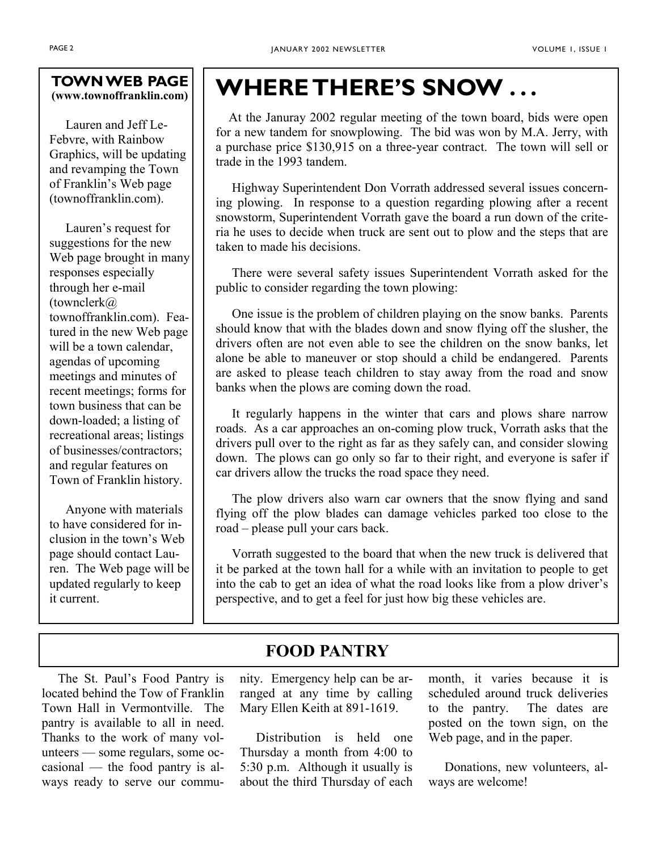### **TOWN WEB PAGE (www.townoffranklin.com)**

 Lauren and Jeff Le-Febvre, with Rainbow Graphics, will be updating and revamping the Town of Franklin's Web page (townoffranklin.com).

 Lauren's request for suggestions for the new Web page brought in many responses especially through her e-mail (townclerk@ townoffranklin.com). Featured in the new Web page will be a town calendar, agendas of upcoming meetings and minutes of recent meetings; forms for town business that can be down-loaded; a listing of recreational areas; listings of businesses/contractors; and regular features on Town of Franklin history.

 Anyone with materials to have considered for inclusion in the town's Web page should contact Lauren. The Web page will be updated regularly to keep it current.

# **WHERE THERE'S SNOW . . .**

 At the Januray 2002 regular meeting of the town board, bids were open for a new tandem for snowplowing. The bid was won by M.A. Jerry, with a purchase price \$130,915 on a three-year contract. The town will sell or trade in the 1993 tandem.

 Highway Superintendent Don Vorrath addressed several issues concerning plowing. In response to a question regarding plowing after a recent snowstorm, Superintendent Vorrath gave the board a run down of the criteria he uses to decide when truck are sent out to plow and the steps that are taken to made his decisions.

 There were several safety issues Superintendent Vorrath asked for the public to consider regarding the town plowing:

 One issue is the problem of children playing on the snow banks. Parents should know that with the blades down and snow flying off the slusher, the drivers often are not even able to see the children on the snow banks, let alone be able to maneuver or stop should a child be endangered. Parents are asked to please teach children to stay away from the road and snow banks when the plows are coming down the road.

 It regularly happens in the winter that cars and plows share narrow roads. As a car approaches an on-coming plow truck, Vorrath asks that the drivers pull over to the right as far as they safely can, and consider slowing down. The plows can go only so far to their right, and everyone is safer if car drivers allow the trucks the road space they need.

 The plow drivers also warn car owners that the snow flying and sand flying off the plow blades can damage vehicles parked too close to the road – please pull your cars back.

 Vorrath suggested to the board that when the new truck is delivered that it be parked at the town hall for a while with an invitation to people to get into the cab to get an idea of what the road looks like from a plow driver's perspective, and to get a feel for just how big these vehicles are.

# **FOOD PANTRY**

 The St. Paul's Food Pantry is located behind the Tow of Franklin Town Hall in Vermontville. The pantry is available to all in need. Thanks to the work of many volunteers — some regulars, some occasional — the food pantry is always ready to serve our community. Emergency help can be arranged at any time by calling Mary Ellen Keith at 891-1619.

 Distribution is held one Thursday a month from 4:00 to 5:30 p.m. Although it usually is about the third Thursday of each month, it varies because it is scheduled around truck deliveries to the pantry. The dates are posted on the town sign, on the Web page, and in the paper.

 Donations, new volunteers, always are welcome!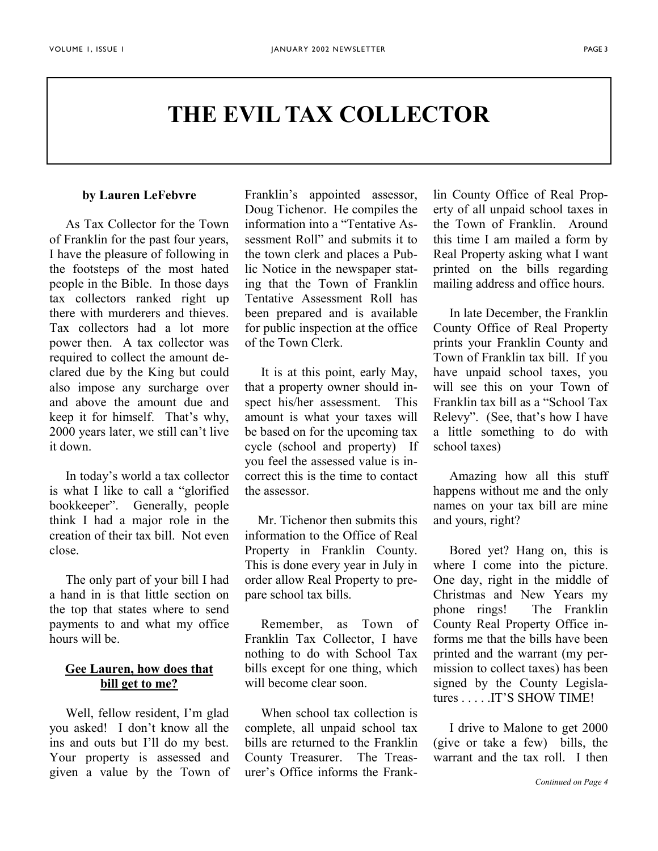# **THE EVIL TAX COLLECTOR**

#### **by Lauren LeFebvre**

 As Tax Collector for the Town of Franklin for the past four years, I have the pleasure of following in the footsteps of the most hated people in the Bible. In those days tax collectors ranked right up there with murderers and thieves. Tax collectors had a lot more power then. A tax collector was required to collect the amount declared due by the King but could also impose any surcharge over and above the amount due and keep it for himself. That's why, 2000 years later, we still can't live it down.

 In today's world a tax collector is what I like to call a "glorified bookkeeper". Generally, people think I had a major role in the creation of their tax bill. Not even close.

 The only part of your bill I had a hand in is that little section on the top that states where to send payments to and what my office hours will be.

## **Gee Lauren, how does that bill get to me?**

 Well, fellow resident, I'm glad you asked! I don't know all the ins and outs but I'll do my best. Your property is assessed and given a value by the Town of

Franklin's appointed assessor, Doug Tichenor. He compiles the information into a "Tentative Assessment Roll" and submits it to the town clerk and places a Public Notice in the newspaper stating that the Town of Franklin Tentative Assessment Roll has been prepared and is available for public inspection at the office of the Town Clerk.

 It is at this point, early May, that a property owner should inspect his/her assessment. This amount is what your taxes will be based on for the upcoming tax cycle (school and property) If you feel the assessed value is incorrect this is the time to contact the assessor.

 Mr. Tichenor then submits this information to the Office of Real Property in Franklin County. This is done every year in July in order allow Real Property to prepare school tax bills.

 Remember, as Town of Franklin Tax Collector, I have nothing to do with School Tax bills except for one thing, which will become clear soon.

 When school tax collection is complete, all unpaid school tax bills are returned to the Franklin County Treasurer. The Treasurer's Office informs the Frank-

lin County Office of Real Property of all unpaid school taxes in the Town of Franklin. Around this time I am mailed a form by Real Property asking what I want printed on the bills regarding mailing address and office hours.

 In late December, the Franklin County Office of Real Property prints your Franklin County and Town of Franklin tax bill. If you have unpaid school taxes, you will see this on your Town of Franklin tax bill as a "School Tax Relevy". (See, that's how I have a little something to do with school taxes)

 Amazing how all this stuff happens without me and the only names on your tax bill are mine and yours, right?

 Bored yet? Hang on, this is where I come into the picture. One day, right in the middle of Christmas and New Years my phone rings! The Franklin County Real Property Office informs me that the bills have been printed and the warrant (my permission to collect taxes) has been signed by the County Legislatures . . . . .IT'S SHOW TIME!

 I drive to Malone to get 2000 (give or take a few) bills, the warrant and the tax roll. I then